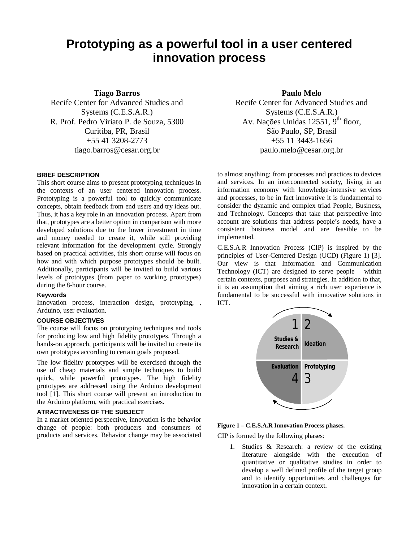# **Prototyping as a powerful tool in a user centered innovation process**

**Tiago Barros**

Recife Center for Advanced Studies and Systems (C.E.S.A.R.) R. Prof. Pedro Viriato P. de Souza, 5300 Curitiba, PR, Brasil +55 41 3208-2773 tiago.barros@cesar.org.br

## **BRIEF DESCRIPTION**

This short course aims to present prototyping techniques in the contexts of an user centered innovation process. Prototyping is a powerful tool to quickly communicate concepts, obtain feedback from end users and try ideas out. Thus, it has a key role in an innovation process. Apart from that, prototypes are a better option in comparison with more developed solutions due to the lower investment in time and money needed to create it, while still providing relevant information for the development cycle. Strongly based on practical activities, this short course will focus on how and with which purpose prototypes should be built. Additionally, participants will be invited to build various levels of prototypes (from paper to working prototypes) during the 8-hour course.

## **Keywords**

Innovation process, interaction design, prototyping, , Arduino, user evaluation.

# **COURSE OBJECTIVES**

The course will focus on prototyping techniques and tools for producing low and high fidelity prototypes. Through a hands-on approach, participants will be invited to create its own prototypes according to certain goals proposed.

The low fidelity prototypes will be exercised through the use of cheap materials and simple techniques to build quick, while powerful prototypes. The high fidelity prototypes are addressed using the Arduino development tool [1]. This short course will present an introduction to the Arduino platform, with practical exercises.

# **ATRACTIVENESS OF THE SUBJECT**

In a market oriented perspective, innovation is the behavior change of people: both producers and consumers of products and services. Behavior change may be associated

**Paulo Melo** Recife Center for Advanced Studies and Systems (C.E.S.A.R.) Av. Nações Unidas 12551, 9<sup>th</sup> floor, São Paulo, SP, Brasil +55 11 3443-1656 paulo.melo@cesar.org.br

to almost anything: from processes and practices to devices and services. In an interconnected society, living in an information economy with knowledge-intensive services and processes, to be in fact innovative it is fundamental to consider the dynamic and complex triad People, Business, and Technology. Concepts that take that perspective into account are solutions that address people's needs, have a consistent business model and are feasible to be implemented.

C.E.S.A.R Innovation Process (CIP) is inspired by the principles of User-Centered Design (UCD) (Figure 1) [3]. Our view is that Information and Communication Technology (ICT) are designed to serve people – within certain contexts, purposes and strategies. In addition to that, it is an assumption that aiming a rich user experience is fundamental to be successful with innovative solutions in ICT.



## **Figure 1 – C.E.S.A.R Innovation Process phases.**

CIP is formed by the following phases:

1. Studies & Research: a review of the existing literature alongside with the execution of quantitative or qualitative studies in order to develop a well defined profile of the target group and to identify opportunities and challenges for innovation in a certain context.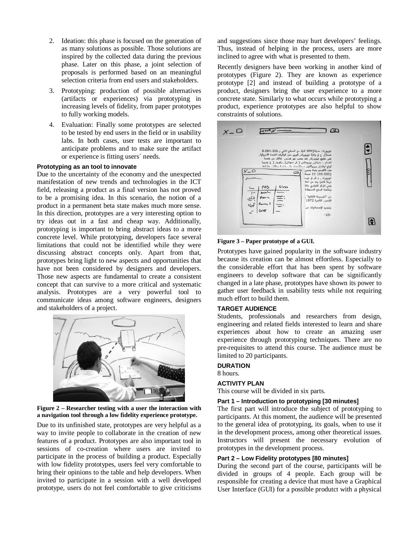- 2. Ideation: this phase is focused on the generation of as many solutions as possible. Those solutions are inspired by the collected data during the previous phase. Later on this phase, a joint selection of proposals is performed based on an meaningful selection criteria from end users and stakeholders.
- 3. Prototyping: production of possible alternatives (artifacts or experiences) via prototyping in increasing levels of fidelity, from paper prototypes to fully working models.
- 4. Evaluation: Finally some prototypes are selected to be tested by end users in the field or in usability labs. In both cases, user tests are important to anticipate problems and to make sure the artifact or experience is fitting users´ needs.

## **Prototyping as an tool to innovate**

Due to the uncertainty of the economy and the unexpected manifestation of new trends and technologies in the ICT field, releasing a product as a final version has not proved to be a promising idea. In this scenario, the notion of a product in a permanent beta state makes much more sense. In this direction, prototypes are a very interesting option to try ideas out in a fast and cheap way. Additionally, prototyping is important to bring abstract ideas to a more concrete level. While prototyping, developers face several limitations that could not be identified while they were discussing abstract concepts only. Apart from that, prototypes bring light to new aspects and opportunities that have not been considered by designers and developers. Those new aspects are fundamental to create a consistent concept that can survive to a more critical and systematic analysis. Prototypes are a very powerful tool to communicate ideas among software engineers, designers and stakeholders of a project.



**Figure 2 – Researcher testing with a user the interaction with a navigation tool through a low fidelity experience prototype.**

Due to its unfinished state, prototypes are very helpful as a way to invite people to collaborate in the creation of new features of a product. Prototypes are also important tool in sessions of co-creation where users are invited to participate in the process of building a product. Especially with low fidelity prototypes, users feel very comfortable to bring their opinions to the table and help developers. When invited to participate in a session with a well developed prototype, users do not feel comfortable to give criticisms

and suggestions since those may hurt developers' feelings. Thus, instead of helping in the process, users are more inclined to agree with what is presented to them.

Recently designers have been working in another kind of prototypes (Figure 2). They are known as experience prototype [2] and instead of building a prototype of a product, designers bring the user experience to a more concrete state. Similarly to what occurs while prototyping a product, experience prototypes are also helpful to show constraints of solutions.

| $X - D$                       | 凸                                                                                                                                                                                                                                                                                                                                                                                                                                                                                                                                                                                           |  |
|-------------------------------|---------------------------------------------------------------------------------------------------------------------------------------------------------------------------------------------------------------------------------------------------------------------------------------------------------------------------------------------------------------------------------------------------------------------------------------------------------------------------------------------------------------------------------------------------------------------------------------------|--|
| メーロ<br>Tarr<br>$\mathfrak{r}$ | نيويورك: مدينة(944 كم2 مع المسطح المائي و 8.084.316<br>نسمةً), ج ق ولاية نيويورك, كبرى مدن الولايات المتحدة الأمريكية,<br>على خليج نيويورك, عند مصب نهر هدسن. تثالف من خمسة<br>آقسام : منهاتن, وبرونکس ( ش منهاتن), وکوینز ( غ جزیرة<br>لونج ايلند), وبروكلين, مستشمعه على حندة ستانه. ون نمط<br>هذه الأقسام بعدة جسور<br>د<br>(22.100.000) نسمة<br>نيوپورك , و ش ق نيوم<br>مرفأ فاخرا يعد من أعظ<br>وهي المركز التجاري والما<br>Gloss<br>105<br>وخاصة السلم الاستهلاكا<br>$M^{\mu\nu}$<br>من "الموسوعة الثقافية".<br>训<br>noun<br>الشعب, القاهرة 1972<br>if form s<br>بتجديد الإحصائيات من |  |
|                               | $-16-$                                                                                                                                                                                                                                                                                                                                                                                                                                                                                                                                                                                      |  |

## **Figure 3 – Paper prototype of a GUI.**

Prototypes have gained popularity in the software industry because its creation can be almost effortless. Especially to the considerable effort that has been spent by software engineers to develop software that can be significantly changed in a late phase, prototypes have shown its power to gather user feedback in usability tests while not requiring much effort to build them.

## **TARGET AUDIENCE**

Students, professionals and researchers from design, engineering and related fields interested to learn and share experiences about how to create an amazing user experience through prototyping techniques. There are no pre-requisites to attend this course. The audience must be limited to 20 participants.

#### **DURATION**

8 hours.

## **ACTIVITY PLAN**

This course will be divided in six parts.

## **Part 1 – Introduction to prototyping [30 minutes]**

The first part will introduce the subject of prototyping to participants. At this moment, the audience will be presented to the general idea of prototyping, its goals, when to use it in the development process, among other theoretical issues. Instructors will present the necessary evolution of prototypes in the development process.

## **Part 2 – Low Fidelity prototypes [80 minutes]**

During the second part of the course, participants will be divided in groups of 4 people. Each group will be responsible for creating a device that must have a Graphical User Interface (GUI) for a possible produtct with a physical